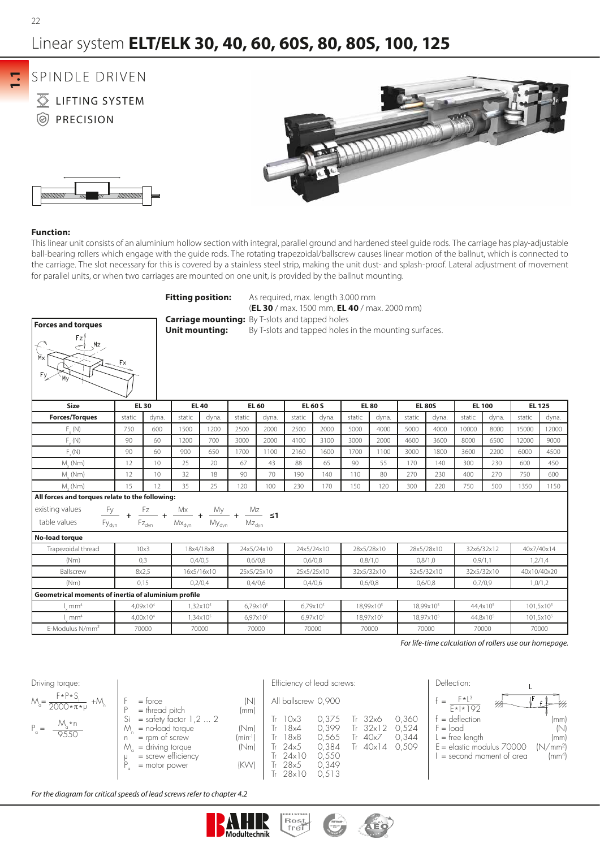## Linear system **ELT/ELK 30, 40, 60, 60S, 80, 80S, 100, 125**

**1.1**

# SPINDLE DRIVEN

**EXAMPLE THE STATEM @** PRECISION





This linear unit consists of an aluminium hollow section with integral, parallel ground and hardened steel guide rods. The carriage has play-adjustable ball-bearing rollers which engage with the guide rods. The rotating trapezoidal/ballscrew causes linear motion of the ballnut, which is connected to the carriage. The slot necessary for this is covered by a stainless steel strip, making the unit dust- and splash-proof. Lateral adjustment of movement for parallel units, or when two carriages are mounted on one unit, is provided by the ballnut mounting.

**Fitting position:** As required, max. length 3.000 mm

|                                                     |                        |       |                                                                                                                                                                                                              |                      |        |                      |        | (EL 30 / max. 1500 mm, EL 40 / max. 2000 mm)          |              |                       |                       |                       |                      |            |                                                        |              |
|-----------------------------------------------------|------------------------|-------|--------------------------------------------------------------------------------------------------------------------------------------------------------------------------------------------------------------|----------------------|--------|----------------------|--------|-------------------------------------------------------|--------------|-----------------------|-----------------------|-----------------------|----------------------|------------|--------------------------------------------------------|--------------|
| <b>Forces and torques</b>                           |                        |       | <b>Carriage mounting:</b> By T-slots and tapped holes<br><b>Unit mounting:</b>                                                                                                                               |                      |        |                      |        | By T-slots and tapped holes in the mounting surfaces. |              |                       |                       |                       |                      |            |                                                        |              |
| Fz'<br>Mz                                           | $\mathsf{F}\mathsf{x}$ |       |                                                                                                                                                                                                              |                      |        |                      |        |                                                       |              |                       |                       |                       |                      |            |                                                        |              |
| <b>Size</b>                                         | <b>EL 30</b>           |       |                                                                                                                                                                                                              | <b>EL 40</b>         |        | <b>EL 60</b>         |        | <b>EL 60 S</b>                                        | <b>EL 80</b> |                       | <b>EL 80S</b>         |                       | <b>EL 100</b>        |            | <b>EL 125</b>                                          |              |
| <b>Forces/Torques</b>                               | static                 | dyna. | static                                                                                                                                                                                                       | dyna.                | static | dyna.                | static | dyna.                                                 | static       | dyna.                 | static                | dyna.                 | static               | dyna.      | static                                                 | dyna.        |
| $F_{\alpha}(N)$<br>750                              |                        | 600   | 1500                                                                                                                                                                                                         | 1200                 | 2500   | 2000                 | 2500   | 2000                                                  | 5000         | 4000                  | 5000                  | 4000                  | 10000                | 8000       | 15000                                                  | 12000        |
| $F_{\ldots}(\mathbb{N})$                            | 90                     | 60    | 1200                                                                                                                                                                                                         | 700                  | 3000   | 2000                 | 4100   | 3100                                                  | 3000         | 2000                  | 4600                  | 3600                  | 8000                 | 6500       | 12000                                                  | 9000         |
| F(N)                                                | 90                     | 60    | 900                                                                                                                                                                                                          | 650                  | 1700   | 1100                 | 2160   | 1600                                                  | 1700         | 1100                  | 3000                  | 1800                  | 3600                 | 2200       | 6000                                                   | 4500         |
| M (Nm)                                              | 12                     | 10    | 25                                                                                                                                                                                                           | 20                   | 67     | 43                   | 88     | 65                                                    | 90           | 55                    | 170                   | 140                   | 300                  | 230        | 600                                                    | 450          |
| M. (Nm)                                             | 12                     | 10    | 32                                                                                                                                                                                                           | 18                   | 90     | 70                   | 190    | 140                                                   | 110          | 80                    | 270                   | 230                   | 400                  | 270        | 750                                                    | 600          |
| $M_{-}$ (Nm)                                        | 15                     | 12    | 35                                                                                                                                                                                                           | 25                   | 120    | 100                  | 230    | 170                                                   | 150          | 120                   | 300                   | 220                   | 750                  | 500        | 1350                                                   | 1150         |
| All forces and torques relate to the following:     |                        |       |                                                                                                                                                                                                              |                      |        |                      |        |                                                       |              |                       |                       |                       |                      |            |                                                        |              |
| existing values<br>Fy                               |                        |       |                                                                                                                                                                                                              |                      |        |                      |        |                                                       |              |                       |                       |                       |                      |            |                                                        |              |
| <b>Fy<sub>dyn</sub></b><br>table values             |                        |       | $\begin{array}{ccccc} \frac{Fz}{Fz_{\text{dyn}}} & + & \frac{Mx}{Mx_{\text{dyn}}} & + & \frac{My}{My_{\text{dyn}}} & + & \frac{Mz}{Mz_{\text{dyn}}} & \text{s1} \end{array}$<br>$\mathsf{Mx}_{\mathsf{dyn}}$ |                      |        |                      |        |                                                       |              |                       |                       |                       |                      |            |                                                        |              |
| No-load torque                                      |                        |       |                                                                                                                                                                                                              |                      |        |                      |        |                                                       |              |                       |                       |                       |                      |            |                                                        |              |
| Trapezoidal thread                                  | 10x3                   |       |                                                                                                                                                                                                              | 18x4/18x8            |        | 24x5/24x10           |        | 24x5/24x10                                            |              | 28x5/28x10            |                       | 28x5/28x10            |                      | 32x6/32x12 | 40x7/40x14                                             |              |
| (Nm)                                                | 0,3                    |       |                                                                                                                                                                                                              | 0,4/0,5              |        | 0,6/0,8              |        | 0,6/0,8                                               |              | 0,8/1,0               | 0,8/1,0               |                       | 0,9/1,1              |            | 1,2/1,4                                                |              |
| Ballscrew                                           | 8x2,5                  |       |                                                                                                                                                                                                              | 16x5/16x10           |        | 25x5/25x10           |        | 25x5/25x10                                            |              | 32x5/32x10            |                       | 32x5/32x10            |                      | 32x5/32x10 |                                                        | 40x10/40x20  |
| (Nm)                                                | 0.15                   |       |                                                                                                                                                                                                              | 0.2/0.4              |        | 0,4/0,6              |        | 0,4/0,6                                               |              | 0,6/0,8               |                       | 0,6/0,8               | 0,7/0,9              |            |                                                        | 1,0/1,2      |
| Geometrical moments of inertia of aluminium profile |                        |       |                                                                                                                                                                                                              |                      |        |                      |        |                                                       |              |                       |                       |                       |                      |            |                                                        |              |
| mm <sup>4</sup>                                     | 4,09x10 <sup>4</sup>   |       |                                                                                                                                                                                                              | 1,32×10 <sup>5</sup> |        | $6,79x10^{5}$        |        | $6,79x10^{5}$                                         |              | 18,99x10 <sup>5</sup> |                       | 18,99x10 <sup>5</sup> | 44,4x10 <sup>5</sup> |            |                                                        | $101,5x10^5$ |
| mm <sup>4</sup>                                     | 4,00×10 <sup>4</sup>   |       |                                                                                                                                                                                                              | 1,34x10 <sup>5</sup> |        | 6,97x10 <sup>5</sup> |        | 6,97x10 <sup>5</sup>                                  |              | 18,97x10 <sup>5</sup> | 18,97x10 <sup>5</sup> |                       | 44,8x10 <sup>5</sup> |            | $101,5x10^5$                                           |              |
| E-Modulus N/mm <sup>2</sup>                         | 70000                  |       |                                                                                                                                                                                                              | 70000                |        | 70000                |        | 70000                                                 |              | 70000                 |                       | 70000                 | 70000                |            |                                                        | 70000        |
|                                                     |                        |       |                                                                                                                                                                                                              |                      |        |                      |        |                                                       |              |                       |                       |                       |                      |            | For life-time calculation of rollers use our homepage. |              |

*For life-time calculation of rollers use our homepage.*

| Driving torque:                                                                                     |                                                                                                                                                                                                   |                                                             | Efficiency of lead screws:                                                                                                                                     |                                                             |                                                                  |                                  | Deflection:                                                                                                                                                    |   |                                                                              |
|-----------------------------------------------------------------------------------------------------|---------------------------------------------------------------------------------------------------------------------------------------------------------------------------------------------------|-------------------------------------------------------------|----------------------------------------------------------------------------------------------------------------------------------------------------------------|-------------------------------------------------------------|------------------------------------------------------------------|----------------------------------|----------------------------------------------------------------------------------------------------------------------------------------------------------------|---|------------------------------------------------------------------------------|
| $F*P*S$<br>$M_{\circ} = \frac{1}{2000 \times \pi \times \mu}$<br>$+M$<br>$M_a * n$<br>$P =$<br>9550 | $=$ torce<br>$=$ thread pitch<br>$=$ safety factor 1,2  2<br>Si<br>$=$ no-load torque<br>M<br>$=$ rpm of screw<br>n.<br>= driving torque<br>$M_{\alpha}$<br>$=$ screw efficiency<br>= motor power | (N)<br>(mm)<br>(Nm)<br>(min <sup>-1</sup> )<br>(Nm)<br>(KW) | All ballscrew 0,900<br>10×3<br>$Tr$ 18 $\times$ 4<br>$Tr$ 18 $\times$ 8<br>Tr $24\times5$<br>$\mathsf{Tr} 24 \times 10$<br>Tr $28\times5$<br>$Tr 28 \times 10$ | 0.375<br>0.399<br>0,565<br>0.384<br>0.550<br>0.349<br>0,513 | 32x6<br>lr.<br>$32\times12$<br>Tr<br>40x7<br>lr.<br>40x14<br>lr. | 0.360<br>0.524<br>0,344<br>0.509 | $F^{\star}L^{3}$<br>$=$<br>$E* * 92$<br>$=$ deflection<br>$F = \text{load}$<br>$L =$ tree length<br>$E =$ elastic modulus $70000$<br>$=$ second moment of area | ₩ | $-\mathscr{C}$<br>(mm)<br>(N<br>(mm)<br>(N/mm <sup>2</sup> )<br>$\text{m}^4$ |

*For the diagram for critical speeds of lead screws refer to chapter 4.2*



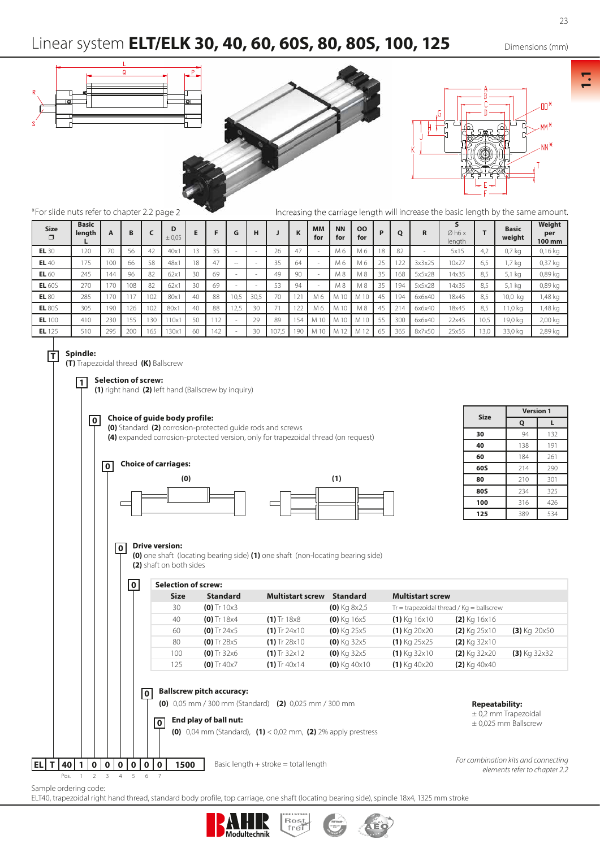

#### **0 Drive version:**

**(0)** one shaft (locating bearing side) **(1)** one shaft (non-locating bearing side) **(2)** shaft on both sides

|  | 0              | <b>Selection of screw:</b> |                                                           |                                                                                                                            |                 |                         |                                              |                                                      |
|--|----------------|----------------------------|-----------------------------------------------------------|----------------------------------------------------------------------------------------------------------------------------|-----------------|-------------------------|----------------------------------------------|------------------------------------------------------|
|  |                | <b>Size</b>                | <b>Standard</b>                                           | <b>Multistart screw</b>                                                                                                    | <b>Standard</b> | <b>Multistart screw</b> |                                              |                                                      |
|  |                | 30                         | $(0)$ Tr 10 $\times$ 3                                    |                                                                                                                            | $(0)$ Kg 8x2,5  |                         | $Tr =$ trapezoidal thread / $Kq =$ ballscrew |                                                      |
|  |                | 40                         | $(0)$ Tr 18x4                                             | $(1)$ Tr 18 $\times$ 8                                                                                                     | $(0)$ Kg 16x5   | $(1)$ Kg 16x10          | $(2)$ Kg 16x16                               |                                                      |
|  |                | 60                         | (0) Tr $24x5$                                             | $(1)$ Tr 24 $\times$ 10                                                                                                    | $(0)$ Kg 25x5   | $(1)$ Kg 20 $\times$ 20 | $(2)$ Kg 25x10                               | $(3)$ Kg 20 $\times$ 50                              |
|  |                | 80                         | $(0)$ Tr 28 $\times$ 5                                    | $(1)$ Tr 28 $\times$ 10                                                                                                    | $(0)$ Kg 32x5   | $(1)$ Kg 25x25          | $(2)$ Kg 32x10                               |                                                      |
|  |                | 100                        | $(0)$ Tr 32x6                                             | $(1)$ Tr 32x12                                                                                                             | $(0)$ Kg 32x5   | $(1)$ Kg 32x10          | $(2)$ Kg 32x20                               | $(3)$ Kg 32x32                                       |
|  |                | 125                        | $(0)$ Tr 40x7                                             | $(1)$ Tr 40 $\times$ 14                                                                                                    | $(0)$ Kg 40x10  | $(1)$ Kg 40x20          | $(2)$ Kg 40x40                               |                                                      |
|  |                |                            |                                                           |                                                                                                                            |                 |                         |                                              |                                                      |
|  | $\overline{0}$ | 0                          | <b>Ballscrew pitch accuracy:</b><br>End play of ball nut: | (0) $0,05$ mm / 300 mm (Standard) (2) $0,025$ mm / 300 mm<br>(0) 0,04 mm (Standard), (1) < 0,02 mm, (2) 2% apply prestress |                 |                         | <b>Repeatability:</b>                        | $\pm$ 0,2 mm Trapezoidal<br>$\pm$ 0,025 mm Ballscrew |

Rost<br>frei

Sample ordering code:

**EL T 40 1 0 0 0 0 0 0 1500**

ELT40, trapezoidal right hand thread, standard body profile, top carriage, one shaft (locating bearing side), spindle 18x4, 1325 mm stroke

Modultechnik



**1.1**